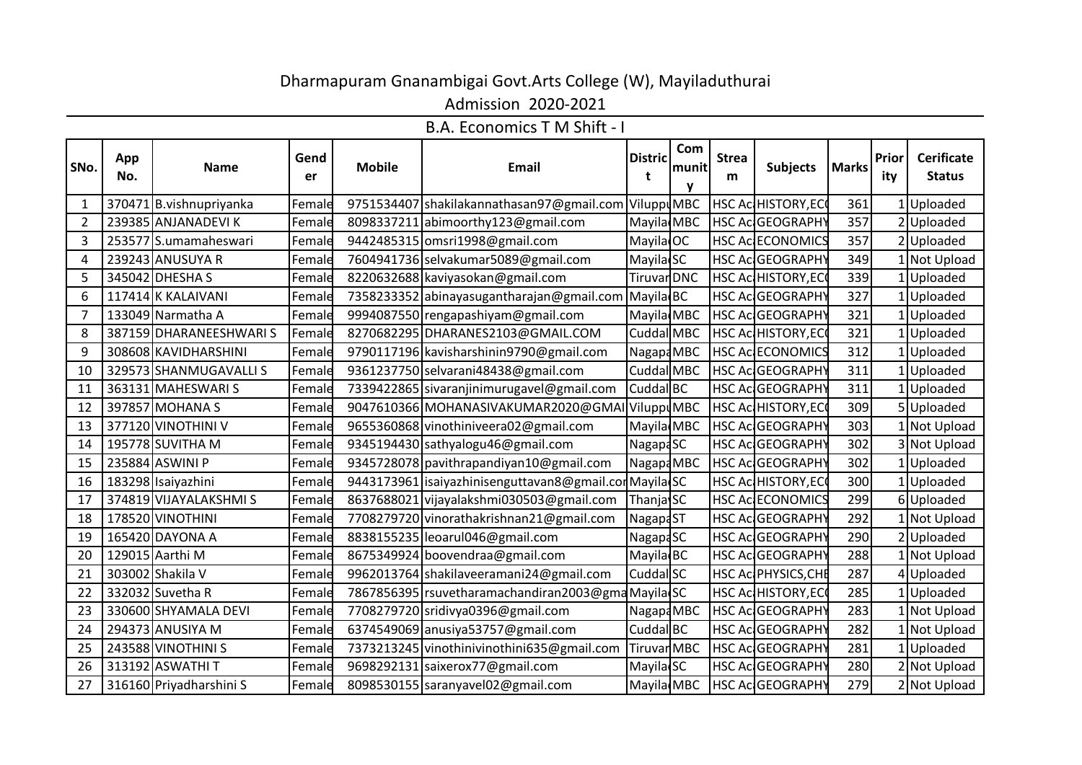## Dharmapuram Gnanambigai Govt.Arts College (W), Mayiladuthurai

Admission 2020-2021

B.A. Economics T M Shift - I

| SNo.           | App<br>No. | <b>Name</b>             | Gend<br>er | <b>Mobile</b> | <b>Email</b>                                            | <b>Distric</b>       | Com<br> munit | <b>Strea</b><br>m | <b>Subjects</b>            | <b>Marks</b> | Prior<br>ity | <b>Cerificate</b><br><b>Status</b> |
|----------------|------------|-------------------------|------------|---------------|---------------------------------------------------------|----------------------|---------------|-------------------|----------------------------|--------------|--------------|------------------------------------|
| $\mathbf{1}$   |            | 370471 B.vishnupriyanka | Female     |               | 9751534407 shakilakannathasan97@gmail.com ViluppuMBC    |                      |               |                   | <b>HSC Ac HISTORY, ECC</b> | 361          |              | $1$ Uploaded                       |
| $\overline{2}$ |            | 239385 ANJANADEVI K     | Female     |               | 8098337211 abimoorthy123@gmail.com                      | Mayila MBC           |               |                   | <b>HSC Ac GEOGRAPHY</b>    | 357          |              | Uploaded                           |
| $\overline{3}$ |            | 253577 S.umamaheswari   | Female     |               | 9442485315 omsri1998@gmail.com                          | Mayila <sup>OC</sup> |               |                   | HSC Ac ECONOMICS           | 357          |              | 2Uploaded                          |
| 4              |            | 239243 ANUSUYA R        | Female     |               | 7604941736 selvakumar5089@gmail.com                     | Mayila SC            |               |                   | HSC Ac GEOGRAPHY           | 349          |              | 1 Not Upload                       |
| 5              |            | 345042 DHESHA S         | Female     |               | 8220632688 kaviyasokan@gmail.com                        | Tiruvar DNC          |               |                   | <b>HSC Ac HISTORY, ECC</b> | 339          |              | Uploaded                           |
| 6              |            | 117414 K KALAIVANI      | Female     |               | 7358233352 abinayasugantharajan@gmail.com               | Mayila BC            |               |                   | HSC Ac GEOGRAPHY           | 327          |              | Uploaded                           |
| $\overline{7}$ |            | 133049 Narmatha A       | Female     |               | 9994087550 rengapashiyam@gmail.com                      | Mayila MBC           |               |                   | HSC Ac GEOGRAPHY           | 321          |              | Uploaded                           |
| 8              |            | 387159 DHARANEESHWARIS  | Female     |               | 8270682295 DHARANES2103@GMAIL.COM                       | Cuddal MBC           |               |                   | <b>HSC Ac HISTORY, ECC</b> | 321          |              | Uploaded                           |
| 9              |            | 308608 KAVIDHARSHINI    | Female     |               | 9790117196 kavisharshinin9790@gmail.com                 | Nagap4MBC            |               |                   | <b>HSC AC ECONOMICS</b>    | 312          |              | Uploaded                           |
| 10             |            | 329573 SHANMUGAVALLI S  | Female     |               | 9361237750 selvarani48438@gmail.com                     | Cuddal MBC           |               |                   | HSC AcGEOGRAPHY            | 311          |              | Uploaded                           |
| 11             |            | 363131 MAHESWARI S      | Female     |               | 7339422865 sivaranjinimurugavel@gmail.com               | Cuddal BC            |               |                   | HSC Ac GEOGRAPHY           | 311          |              | 1Uploaded                          |
| 12             |            | 397857 MOHANA S         | Female     |               | 9047610366 MOHANASIVAKUMAR2020@GMA                      | IViluppuMBC          |               |                   | <b>HSC Ac HISTORY, ECC</b> | 309          |              | 5 Uploaded                         |
| 13             |            | 377120 VINOTHINI V      | Female     |               | 9655360868 vinothiniveera02@gmail.com                   | Mayila MBC           |               |                   | HSC AcGEOGRAPHY            | 303          |              | 1 Not Upload                       |
| 14             |            | 195778 SUVITHA M        | Female     |               | 9345194430 sathyalogu46@gmail.com                       | Nagapa <sub>SC</sub> |               |                   | HSC Ac GEOGRAPHY           | 302          |              | 3 Not Upload                       |
| 15             |            | 235884 ASWINI P         | Female     |               | 9345728078 pavithrapandiyan10@gmail.com                 | Nagapa MBC           |               |                   | HSC Ac GEOGRAPHY           | 302          |              | 1 Uploaded                         |
| 16             |            | 183298 Isaiyazhini      | Female     |               | 9443173961   isaiyazhinisenguttavan8@gmail.corMayila SC |                      |               |                   | HSC Ac HISTORY, ECO        | 300          |              | $1$ Uploaded                       |
| 17             |            | 374819 VIJAYALAKSHMI S  | Female     |               | 8637688021 vijayalakshmi030503@gmail.com                | Thanja SC            |               |                   | <b>HSC AC ECONOMICS</b>    | 299          |              | 6Uploaded                          |
| 18             |            | 178520 VINOTHINI        | Female     |               | 7708279720 vinorathakrishnan21@gmail.com                | Nagap4ST             |               |                   | HSC Ac GEOGRAPHY           | 292          |              | 1 Not Upload                       |
| 19             |            | 165420 DAYONA A         | Female     |               | 8838155235 leoarul046@gmail.com                         | Nagap4SC             |               |                   | HSC Ac GEOGRAPHY           | 290          |              | 2Uploaded                          |
| 20             |            | 129015 Aarthi M         | Female     |               | 8675349924 boovendraa@gmail.com                         | Mayila BC            |               |                   | HSC Ac GEOGRAPHY           | 288          |              | 1 Not Upload                       |
| 21             |            | 303002 Shakila V        | Female     |               | 9962013764 shakilaveeramani24@gmail.com                 | Cuddal <sup>SC</sup> |               |                   | HSC Ac PHYSICS, CHE        | 287          |              | 4 Uploaded                         |
| 22             |            | 332032 Suvetha R        | Female     |               | 7867856395 rsuvetharamachandiran2003@gmaMayila SC       |                      |               |                   | HSC Ac HISTORY, ECO        | 285          |              | 1 Uploaded                         |
| 23             |            | 330600 SHYAMALA DEVI    | Female     |               | 7708279720 sridivya0396@gmail.com                       | Nagapa MBC           |               |                   | HSC Ac GEOGRAPHY           | 283          |              | 1 Not Upload                       |
| 24             |            | 294373 ANUSIYA M        | Female     |               | 6374549069 anusiya53757@gmail.com                       | Cuddal BC            |               |                   | HSC Ac GEOGRAPHY           | 282          |              | 1 Not Upload                       |
| 25             |            | 243588 VINOTHINI S      | Female     |               | 7373213245 vinothinivinothini635@gmail.com              | Tiruvar MBC          |               |                   | HSC Ac GEOGRAPHY           | 281          |              | 1 Uploaded                         |
| 26             |            | 313192 ASWATHI T        | Female     |               | 9698292131 saixerox77@gmail.com                         | Mayila <sub>SC</sub> |               |                   | HSC Ac GEOGRAPHY           | 280          |              | 2 Not Upload                       |
| 27             |            | 316160 Priyadharshini S | Female     |               | 8098530155 saranyavel02@gmail.com                       | Mayila MBC           |               |                   | HSC Ac GEOGRAPHY           | 279          |              | 2 Not Upload                       |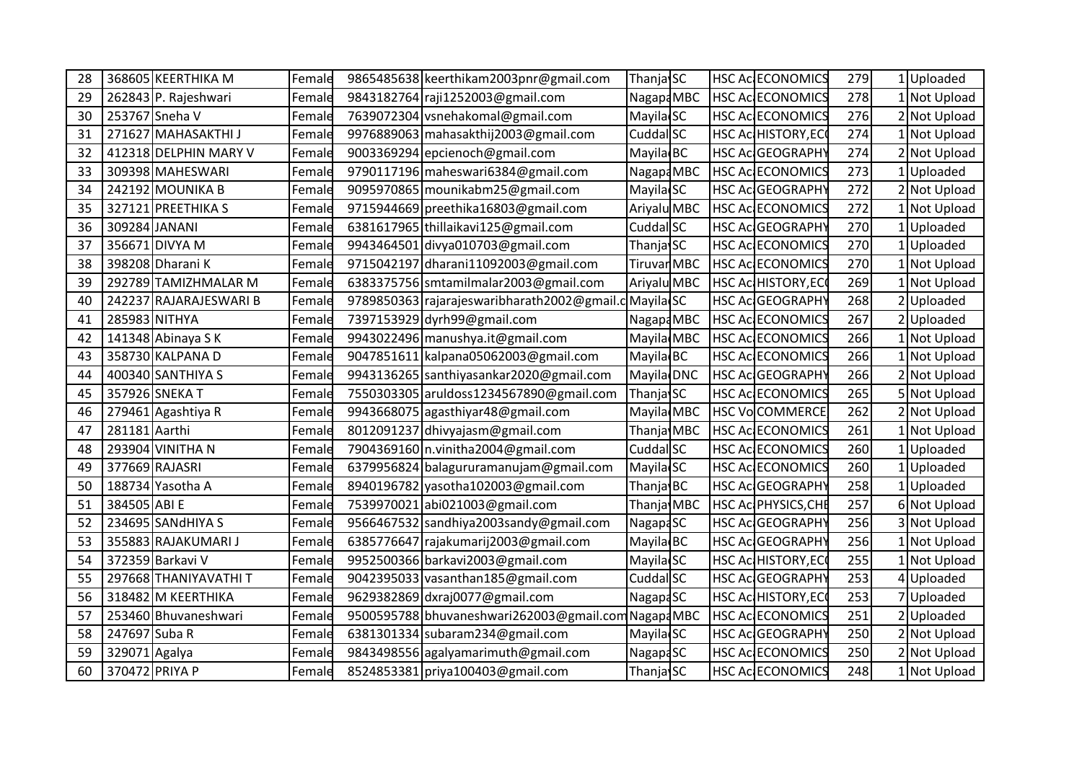| 28 |               | 368605 KEERTHIKA M     | Female | 9865485638 keerthikam2003pnr@gmail.com               | Thanja SC              |  | HSC Ac ECONOMICS          | 279 | 1 Uploaded   |
|----|---------------|------------------------|--------|------------------------------------------------------|------------------------|--|---------------------------|-----|--------------|
| 29 |               | 262843 P. Rajeshwari   | Female | 9843182764 raji1252003@gmail.com                     | Nagapa MBC             |  | <b>HSC AC ECONOMICS</b>   | 278 | 1 Not Upload |
| 30 |               | 253767 Sneha V         | Female | 7639072304 vsnehakomal@gmail.com                     | Mayila <sub>SC</sub>   |  | <b>HSC Ac ECONOMICS</b>   | 276 | 2 Not Upload |
| 31 |               | 271627 MAHASAKTHI J    | Female | 9976889063 mahasakthij2003@gmail.com                 | Cuddal SC              |  | HSC Ac HISTORY, EC        | 274 | Not Upload   |
| 32 |               | 412318 DELPHIN MARY V  | Female | 9003369294 epcienoch@gmail.com                       | Mayila BC              |  | HSC Ac GEOGRAPHY          | 274 | 2 Not Upload |
| 33 |               | 309398 MAHESWARI       | Female | 9790117196 maheswari6384@gmail.com                   | Nagap4MBC              |  | <b>HSC AC ECONOMICS</b>   | 273 | 1 Uploaded   |
| 34 |               | 242192 MOUNIKA B       | Female | 9095970865 mounikabm25@gmail.com                     | Mayila SC              |  | HSC Ac GEOGRAPHY          | 272 | 2 Not Upload |
| 35 |               | 327121 PREETHIKA S     | Female | 9715944669 preethika16803@gmail.com                  | Ariyalu MBC            |  | HSC Ac ECONOMICS          | 272 | 1 Not Upload |
| 36 |               | 309284 JANANI          | Female | 6381617965 thillaikavi125@gmail.com                  | Cuddal SC              |  | HSC Ac GEOGRAPHY          | 270 | 1 Uploaded   |
| 37 |               | 356671 DIVYA M         | Female | 9943464501 divya010703@gmail.com                     | Thanja SC              |  | HSC Ac ECONOMICS          | 270 | 1 Uploaded   |
| 38 |               | 398208 Dharani K       | Female | 9715042197 dharani11092003@gmail.com                 | Tiruvar <sub>MBC</sub> |  | <b>HSC Ac ECONOMICS</b>   | 270 | 1 Not Upload |
| 39 |               | 292789 TAMIZHMALAR M   | Female | 6383375756 smtamilmalar2003@gmail.com                | Ariyalu MBC            |  | HSC Ac HISTORY, EC        | 269 | 1 Not Upload |
| 40 |               | 242237 RAJARAJESWARI B | Female | 9789850363 rajarajeswaribharath2002@gmail            | cMayila SC             |  | HSC Ac GEOGRAPHY          | 268 | 2 Uploaded   |
| 41 |               | 285983 NITHYA          | Female | 7397153929 dyrh99@gmail.com                          | NagapaMBC              |  | HSC Ac ECONOMICS          | 267 | 2 Uploaded   |
| 42 |               | 141348 Abinaya S K     | Female | 9943022496 manushya.it@gmail.com                     | Mayila MBC             |  | HSC Ac ECONOMICS          | 266 | Not Upload   |
| 43 |               | 358730 KALPANA D       | Female | 9047851611 kalpana05062003@gmail.com                 | Mayila BC              |  | <b>HSC Ac ECONOMICS</b>   | 266 | 1 Not Upload |
| 44 |               | 400340 SANTHIYA S      | Female | 9943136265 santhiyasankar2020@gmail.com              | Mayila DNC             |  | HSC Ac GEOGRAPHY          | 266 | 2 Not Upload |
| 45 |               | 357926 SNEKA T         | Female | 7550303305 aruldoss1234567890@gmail.com              | Thanja SC              |  | HSC Ac ECONOMICS          | 265 | 5 Not Upload |
| 46 |               | 279461 Agashtiya R     | Female | 9943668075 agasthiyar48@gmail.com                    | Mayila MBC             |  | HSC VoCOMMERCE            | 262 | Not Upload   |
| 47 | 281181 Aarthi |                        | Female | 8012091237 dhivyajasm@gmail.com                      | Thanja MBC             |  | HSC Ac ECONOMICS          | 261 | 1 Not Upload |
| 48 |               | 293904 VINITHA N       | Female | 7904369160 n.vinitha2004@gmail.com                   | Cuddal SC              |  | HSC Ac ECONOMICS          | 260 | Uploaded     |
| 49 |               | 377669 RAJASRI         | Female | 6379956824 balagururamanujam@gmail.com               | Mayila <sup>SC</sup>   |  | HSC Ac ECONOMICS          | 260 | 1 Uploaded   |
| 50 |               | 188734 Yasotha A       | Female | 8940196782 yasotha102003@gmail.com                   | Thanja BC              |  | HSC Ac GEOGRAPHY          | 258 | Uploaded     |
| 51 | 384505 ABI E  |                        | Female | 7539970021 abi021003@gmail.com                       | Thanja MBC             |  | HSC Ac PHYSICS, CHE       | 257 | 6 Not Upload |
| 52 |               | 234695 SANdHIYA S      | Female | 9566467532 sandhiya2003sandy@gmail.com               | Nagapa <sub>SC</sub>   |  | HSC Ac GEOGRAPHY          | 256 | 3 Not Upload |
| 53 |               | 355883 RAJAKUMARI J    | Female | 6385776647 rajakumarij 2003@gmail.com                | Mayila BC              |  | <b>HSC Ac GEOGRAPHY</b>   | 256 | 1 Not Upload |
| 54 |               | 372359 Barkavi V       | Female | 9952500366 barkavi2003@gmail.com                     | Mayila SC              |  | <b>HSC AC HISTORY, EC</b> | 255 | Not Upload   |
| 55 |               | 297668 THANIYAVATHI T  | Female | 9042395033 vasanthan185@gmail.com                    | Cuddal SC              |  | HSC Ac GEOGRAPHY          | 253 | Uploaded     |
| 56 |               | 318482 M KEERTHIKA     | Female | 9629382869 dxraj0077@gmail.com                       | Nagapa <sub>SC</sub>   |  | HSC Ac HISTORY, EC        | 253 | 7 Uploaded   |
| 57 |               | 253460 Bhuvaneshwari   | Female | 9500595788 bhuvaneshwari 262003@gmail.com Nagapa MBC |                        |  | <b>HSC Ac ECONOMICS</b>   | 251 | 2 Uploaded   |
| 58 | 247697 Suba R |                        | Female | 6381301334 subaram234@gmail.com                      | Mayila <sup>SC</sup>   |  | HSC Ac GEOGRAPHY          | 250 | 2 Not Upload |
| 59 | 329071 Agalya |                        | Female | 9843498556 agalyamarimuth@gmail.com                  | Nagapa <sub>SC</sub>   |  | HSC Ac ECONOMICS          | 250 | 2 Not Upload |
| 60 |               | 370472 PRIYA P         | Female | 8524853381 priya100403@gmail.com                     | Thanja SC              |  | HSC Ac ECONOMICS          | 248 | 1 Not Upload |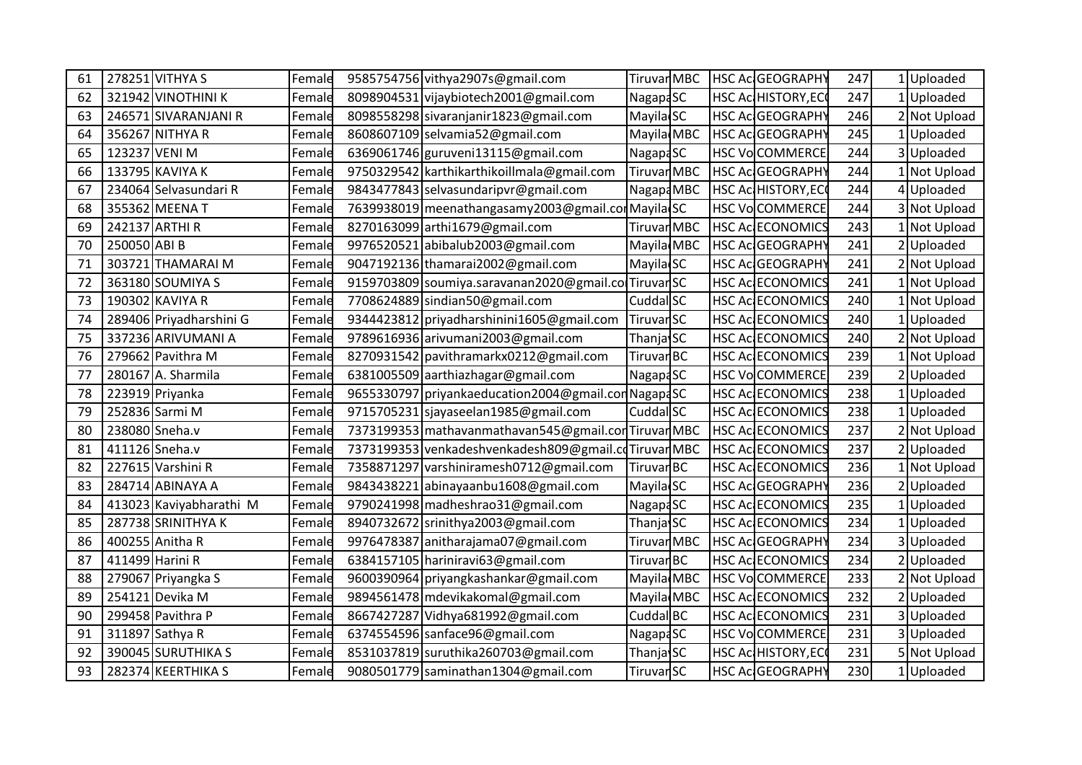| 61 | 278251 VITHYA S         | Female | 9585754756 vithya2907s@gmail.com                      | TiruvarMBC            |  | HSC Ac GEOGRAPHY        | 247 | 1 Uploaded   |
|----|-------------------------|--------|-------------------------------------------------------|-----------------------|--|-------------------------|-----|--------------|
| 62 | 321942 VINOTHINI K      | Female | 8098904531 vijaybiotech2001@gmail.com                 | NagapaSC              |  | HSC Ac HISTORY, EC      | 247 | 1 Uploaded   |
| 63 | 246571 SIVARANJANI R    | Female | 8098558298 sivaranjanir1823@gmail.com                 | Mayila SC             |  | HSC Ac GEOGRAPHY        | 246 | 2 Not Upload |
| 64 | 356267 NITHYA R         | Female | 8608607109 selvamia52@gmail.com                       | Mayila MBC            |  | HSC Ac GEOGRAPHY        | 245 | Uploaded     |
| 65 | 123237 VENI M           | Female | 6369061746 guruveni13115@gmail.com                    | Nagapa <sub>SC</sub>  |  | HSC VoCOMMERCE          | 244 | Uploaded     |
| 66 | 133795 KAVIYA K         | Female | 9750329542 karthikarthikoillmala@gmail.com            | Tiruvar MBC           |  | HSC Ac GEOGRAPHY        | 244 | 1 Not Upload |
| 67 | 234064 Selvasundari R   | Female | 9843477843 selvasundaripvr@gmail.com                  | Nagapa MBC            |  | HSC Ac HISTORY, ECO     | 244 | 4 Uploaded   |
| 68 | 355362 MEENA T          | Female | 7639938019 meenathangasamy2003@gmail.com Mayila SC    |                       |  | HSC VoCOMMERCE          | 244 | 3 Not Upload |
| 69 | 242137 ARTHI R          | Female | 8270163099 arthi1679@gmail.com                        | TiruvarMBC            |  | <b>HSC AC ECONOMICS</b> | 243 | 1 Not Upload |
| 70 | 250050 ABI B            | Female | 9976520521 abibalub2003@gmail.com                     | Mayila MBC            |  | HSC Ac GEOGRAPHY        | 241 | 2 Uploaded   |
| 71 | 303721 THAMARAI M       | Female | 9047192136 thamarai2002@gmail.com                     | Mayila SC             |  | HSC Ac GEOGRAPHY        | 241 | 2 Not Upload |
| 72 | 363180 SOUMIYA S        | Female | 9159703809 soumiya.saravanan2020@gmail.colTiruvarSC   |                       |  | <b>HSC AC ECONOMICS</b> | 241 | 1 Not Upload |
| 73 | 190302 KAVIYA R         | Female | 7708624889 sindian50@gmail.com                        | Cuddal SC             |  | HSC Ac ECONOMICS        | 240 | 1 Not Upload |
| 74 | 289406 Priyadharshini G | Female | 9344423812 priyadharshinini1605@gmail.com             | Tiruvar <sub>SC</sub> |  | <b>HSC AC ECONOMICS</b> | 240 | 1 Uploaded   |
| 75 | 337236 ARIVUMANI A      | Female | 9789616936 arivumani2003@gmail.com                    | Thanja <sup>SC</sup>  |  | HSC Ac ECONOMICS        | 240 | 2 Not Upload |
| 76 | 279662 Pavithra M       | Female | 8270931542 pavithramarkx0212@gmail.com                | Tiruvar <sub>BC</sub> |  | <b>HSC AC ECONOMICS</b> | 239 | 1 Not Upload |
| 77 | 280167 A. Sharmila      | Female | 6381005509 aarthiazhagar@gmail.com                    | Nagapa <sub>SC</sub>  |  | HSC VoCOMMERCE          | 239 | 2 Uploaded   |
| 78 | 223919 Priyanka         | Female | 9655330797 priyankaeducation 2004@gmail.com NagapaSC  |                       |  | HSC Ac ECONOMICS        | 238 | 1 Uploaded   |
| 79 | 252836 Sarmi M          | Female | 9715705231 sjayaseelan1985@gmail.com                  | Cuddal <sup>SC</sup>  |  | HSC Ac ECONOMICS        | 238 | 1 Uploaded   |
| 80 | 238080 Sneha.v          | Female | 7373199353 mathavanmathavan 545@gmail.con Tiruvar MBC |                       |  | <b>HSC Ac ECONOMICS</b> | 237 | 2 Not Upload |
| 81 | 411126 Sneha.v          | Female | 7373199353 venkadeshvenkadesh809@gmail.cdTiruvarMBC   |                       |  | HSC Ac ECONOMICS        | 237 | 2 Uploaded   |
| 82 | 227615 Varshini R       | Female | 7358871297 varshiniramesh0712@gmail.com               | Tiruvar <sub>BC</sub> |  | HSC Ac ECONOMICS        | 236 | 1 Not Upload |
| 83 | 284714 ABINAYA A        | Female | 9843438221 abinayaanbu1608@gmail.com                  | Mayila <sup>SC</sup>  |  | HSC Ac GEOGRAPHY        | 236 | 2 Uploaded   |
| 84 | 413023 Kaviyabharathi M | Female | 9790241998 madheshrao31@gmail.com                     | Nagapa <sub>SC</sub>  |  | HSC Ac ECONOMICS        | 235 | 1 Uploaded   |
| 85 | 287738 SRINITHYA K      | Female | 8940732672 srinithya2003@gmail.com                    | Thanja SC             |  | HSC Ac ECONOMICS        | 234 | 1 Uploaded   |
| 86 | 400255 Anitha R         | Female | 9976478387 anitharajama07@gmail.com                   | TiruvarMBC            |  | HSC Ac GEOGRAPHY        | 234 | 3 Uploaded   |
| 87 | 411499 Harini R         | Female | 6384157105 hariniravi63@gmail.com                     | Tiruvar <sub>BC</sub> |  | <b>HSC AC ECONOMICS</b> | 234 | Uploaded     |
| 88 | 279067 Priyangka S      | Female | 9600390964 priyangkashankar@gmail.com                 | Mayila MBC            |  | HSC VoCOMMERCE          | 233 | 2 Not Upload |
| 89 | 254121 Devika M         | Female | 9894561478 mdevikakomal@gmail.com                     | Mayila MBC            |  | <b>HSC AC ECONOMICS</b> | 232 | 2 Uploaded   |
| 90 | 299458 Pavithra P       | Female | 8667427287 Vidhya681992@gmail.com                     | Cuddal BC             |  | <b>HSC AC ECONOMICS</b> | 231 | 3 Uploaded   |
| 91 | 311897 Sathya R         | Female | 6374554596 sanface96@gmail.com                        | Nagapa <sub>SC</sub>  |  | <b>HSC VoCOMMERCE</b>   | 231 | Uploaded     |
| 92 | 390045 SURUTHIKA S      | Female | 8531037819 suruthika260703@gmail.com                  | Thanja SC             |  | HSC Ac HISTORY, ECO     | 231 | 5 Not Upload |
| 93 | 282374 KEERTHIKA S      | Female | 9080501779 saminathan1304@gmail.com                   | TiruvarSC             |  | HSC Ac GEOGRAPHY        | 230 | 1 Uploaded   |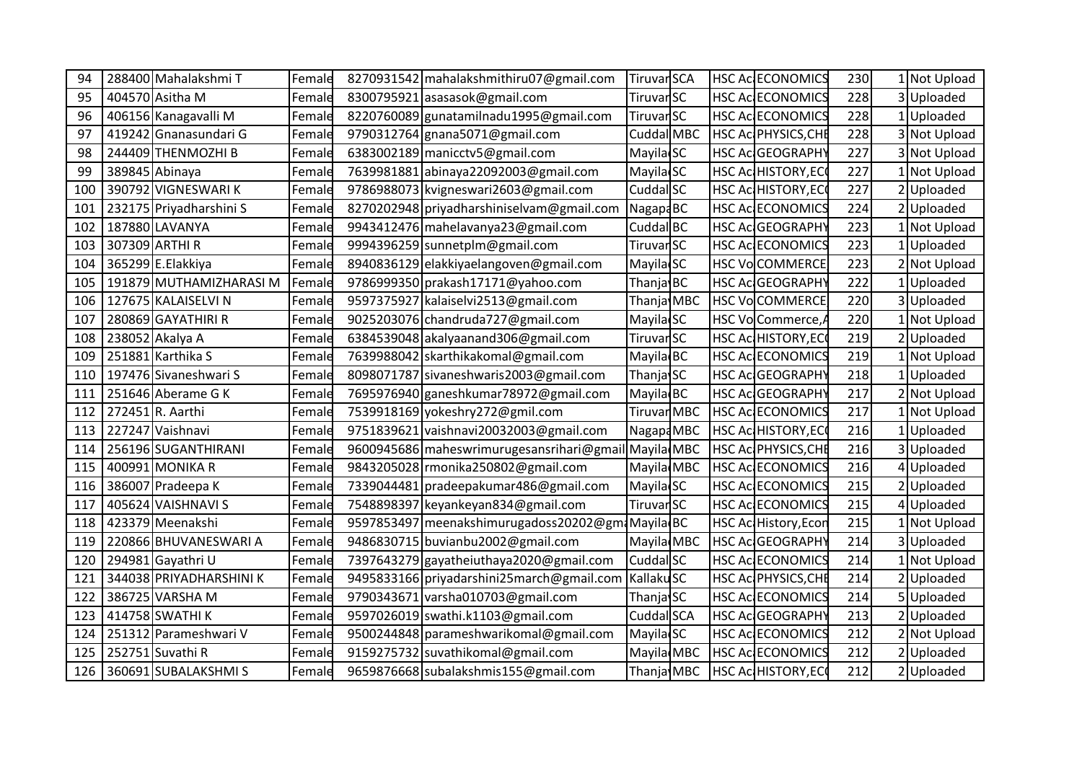| 94  | 288400 Mahalakshmi T    | Female | 8270931542 mahalakshmithiru07@gmail.com              | TiruvarSCA            |  | <b>HSC AC ECONOMICS</b>    | 230 | 1 Not Upload |
|-----|-------------------------|--------|------------------------------------------------------|-----------------------|--|----------------------------|-----|--------------|
| 95  | 404570 Asitha M         | Female | 8300795921 asasasok@gmail.com                        | TiruvarSC             |  | <b>HSC Ac ECONOMICS</b>    | 228 | 3 Uploaded   |
| 96  | 406156 Kanagavalli M    | Female | 8220760089 gunatamilnadu1995@gmail.com               | TiruvarSC             |  | <b>HSC Ac ECONOMICS</b>    | 228 | 1 Uploaded   |
| 97  | 419242 Gnanasundari G   | Female | 9790312764 gnana5071@gmail.com                       | Cuddal MBC            |  | HSC Ac PHYSICS, CHE        | 228 | 3 Not Upload |
| 98  | 244409 THENMOZHI B      | Female | 6383002189 manicctv5@gmail.com                       | Mayila <sup>SC</sup>  |  | HSC Ac GEOGRAPHY           | 227 | 3 Not Upload |
| 99  | 389845 Abinaya          | Female | 7639981881 abinaya22092003@gmail.com                 | Mayila <sup>SC</sup>  |  | HSC Ac HISTORY, EC         | 227 | 1 Not Upload |
| 100 | 390792 VIGNESWARIK      | Female | 9786988073 kvigneswari2603@gmail.com                 | Cuddal SC             |  | HSC Ac HISTORY, ECO        | 227 | 2 Uploaded   |
| 101 | 232175 Priyadharshini S | Female | 8270202948 priyadharshiniselvam@gmail.com            | NagapaBC              |  | HSC Ac ECONOMICS           | 224 | 2 Uploaded   |
| 102 | 187880 LAVANYA          | Female | 9943412476 mahelavanya23@gmail.com                   | Cuddal BC             |  | HSC Ac GEOGRAPHY           | 223 | 1 Not Upload |
| 103 | 307309 ARTHI R          | Female | 9994396259 sunnetplm@gmail.com                       | TiruvarSC             |  | <b>HSC Ac ECONOMICS</b>    | 223 | 1 Uploaded   |
| 104 | 365299 E.Elakkiya       | Female | 8940836129 elakkiyaelangoven@gmail.com               | Mayila SC             |  | <b>HSC VoCOMMERCE</b>      | 223 | 2 Not Upload |
| 105 | 191879 MUTHAMIZHARASI M | Female | 9786999350 prakash17171@yahoo.com                    | Thanja BC             |  | <b>HSC Ac GEOGRAPHY</b>    | 222 | 1 Uploaded   |
| 106 | 127675 KALAISELVI N     | Female | 9597375927 kalaiselvi2513@gmail.com                  | Thanja MBC            |  | HSC VoCOMMERCE             | 220 | 3 Uploaded   |
| 107 | 280869 GAYATHIRI R      | Female | 9025203076 chandruda727@gmail.com                    | Mayila SC             |  | HSC VoCommerce,A           | 220 | 1 Not Upload |
| 108 | 238052 Akalya A         | Female | 6384539048 akalyaanand 306@gmail.com                 | TiruvarSC             |  | <b>HSC Ac HISTORY, EC</b>  | 219 | 2 Uploaded   |
| 109 | 251881 Karthika S       | Female | 7639988042 skarthikakomal@gmail.com                  | Mayila BC             |  | HSC Ac ECONOMICS           | 219 | 1 Not Upload |
| 110 | 197476 Sivaneshwari S   | Female | 8098071787 sivaneshwaris2003@gmail.com               | Thanja SC             |  | HSC Ac GEOGRAPHY           | 218 | 1 Uploaded   |
| 111 | 251646 Aberame G K      | Female | 7695976940 ganeshkumar78972@gmail.com                | Mayila BC             |  | HSC Ac GEOGRAPHY           | 217 | 2 Not Upload |
| 112 | 272451 R. Aarthi        | Female | 7539918169 yokeshry272@gmil.com                      | TiruvarMBC            |  | <b>HSC AC ECONOMICS</b>    | 217 | Not Upload   |
| 113 | 227247 Vaishnavi        | Female | 9751839621 vaishnavi20032003@gmail.com               | Nagapa MBC            |  | HSC AcHISTORY, ECO         | 216 | 1 Uploaded   |
| 114 | 256196 SUGANTHIRANI     | Female | 9600945686 maheswrimurugesansrihari@gmail Mayila MBC |                       |  | HSC Ac PHYSICS, CHE        | 216 | 3 Uploaded   |
| 115 | 400991 MONIKA R         | Female | 9843205028 rmonika250802@gmail.com                   | Mayila MBC            |  | <b>HSC AC ECONOMICS</b>    | 216 | 4 Uploaded   |
| 116 | 386007 Pradeepa K       | Femald | 7339044481 pradeepakumar486@gmail.com                | Mayila <sup>SC</sup>  |  | HSC Ac ECONOMICS           | 215 | 2 Uploaded   |
| 117 | 405624 VAISHNAVI S      | Female | 7548898397 keyankeyan834@gmail.com                   | TiruvarSC             |  | HSC Ac ECONOMICS           | 215 | 4 Uploaded   |
| 118 | 423379 Meenakshi        | Female | 9597853497 meenakshimurugadoss20202@gm Mayila BC     |                       |  | HSC Ac History, Econ       | 215 | 1 Not Upload |
| 119 | 220866 BHUVANESWARI A   | Female | 9486830715 buvianbu2002@gmail.com                    | Mayila MBC            |  | HSC Ac GEOGRAPHY           | 214 | 3 Uploaded   |
| 120 | 294981 Gayathri U       | Female | 7397643279 gayatheiuthaya2020@gmail.com              | Cuddal SC             |  | HSC Ac ECONOMICS           | 214 | 1 Not Upload |
| 121 | 344038 PRIYADHARSHINI K | Female | 9495833166 priyadarshini25march@gmail.com            | Kallaku <sub>SC</sub> |  | HSC Ac PHYSICS, CHE        | 214 | 2 Uploaded   |
| 122 | 386725 VARSHA M         | Female | 9790343671 varsha010703@gmail.com                    | Thanja SC             |  | <b>HSC Ac ECONOMICS</b>    | 214 | 5 Uploaded   |
| 123 | 414758 SWATHI K         | Female | 9597026019 swathi.k1103@gmail.com                    | Cuddal SCA            |  | HSC Ac GEOGRAPHY           | 213 | 2 Uploaded   |
| 124 | 251312 Parameshwari V   | Female | 9500244848 parameshwarikomal@gmail.com               | Mayila <sub>SC</sub>  |  | HSC Ac ECONOMICS           | 212 | 2 Not Upload |
| 125 | 252751 Suvathi R        | Female | 9159275732 suvathikomal@gmail.com                    | Mayila MBC            |  | HSC Ac ECONOMICS           | 212 | 2 Uploaded   |
| 126 | 360691 SUBALAKSHMIS     | Female | 9659876668 subalakshmis155@gmail.com                 | Thanja MBC            |  | <b>HSC AC HISTORY, ECC</b> | 212 | 2 Uploaded   |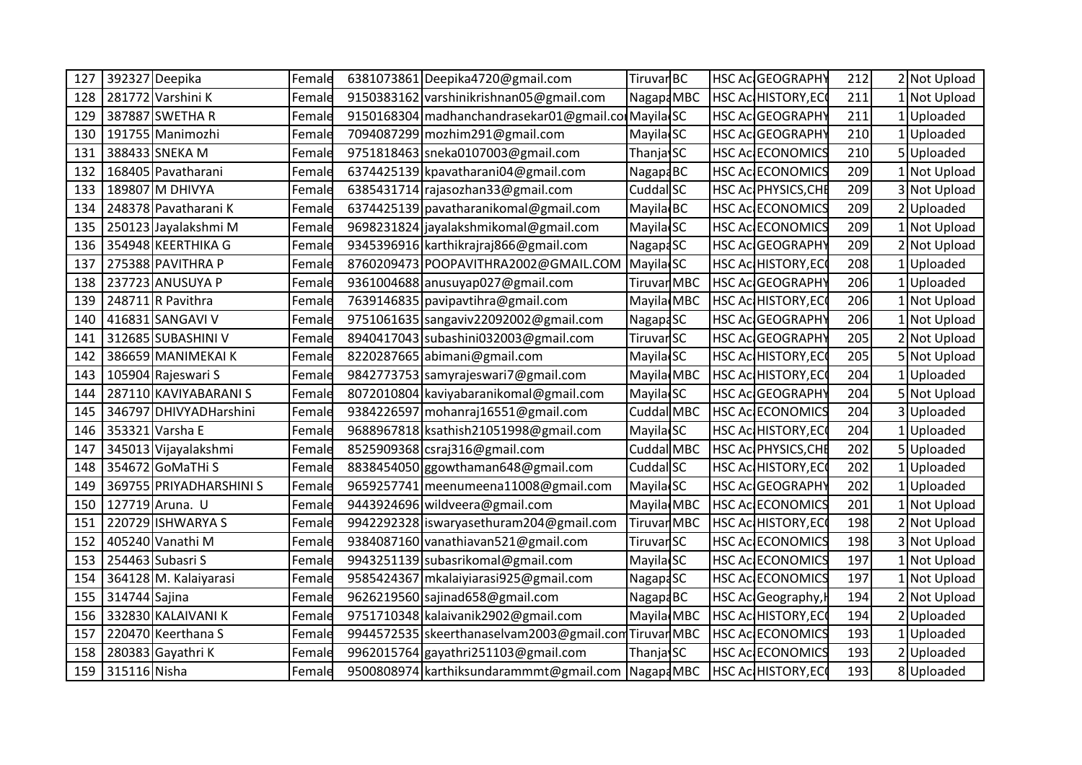| 127 |                  | 392327 Deepika          | Female | 6381073861 Deepika4720@gmail.com                                    | Tiruvar <sub>BC</sub> |  | HSC Ac GEOGRAPHY          | 212 | 2 Not Upload |
|-----|------------------|-------------------------|--------|---------------------------------------------------------------------|-----------------------|--|---------------------------|-----|--------------|
| 128 |                  | 281772 Varshini K       | Female | 9150383162 varshinikrishnan05@gmail.com                             | Nagapa MBC            |  | HSC AcHISTORY, ECO        | 211 | 1 Not Upload |
| 129 |                  | 387887 SWETHA R         | Female | 9150168304 madhanchandrasekar01@gmail.com Mayila SC                 |                       |  | HSC Ac GEOGRAPHY          | 211 | 1 Uploaded   |
| 130 |                  | 191755 Manimozhi        | Female | 7094087299 mozhim291@gmail.com                                      | Mayila SC             |  | HSC Ac GEOGRAPHY          | 210 | Uploaded     |
| 131 |                  | 388433 SNEKA M          | Female | 9751818463 sneka0107003@gmail.com                                   | Thanja SC             |  | HSC Ac ECONOMICS          | 210 | 5 Uploaded   |
| 132 |                  | 168405 Pavatharani      | Female | 6374425139 kpavatharani04@gmail.com                                 | Nagap4BC              |  | <b>HSC Ac ECONOMICS</b>   | 209 | 1 Not Upload |
| 133 |                  | 189807 M DHIVYA         | Female | 6385431714 rajasozhan33@gmail.com                                   | Cuddal SC             |  | HSC Ac PHYSICS, CHE       | 209 | 3 Not Upload |
| 134 |                  | 248378 Pavatharani K    | Female | 6374425139 pavatharanikomal@gmail.com                               | Mayila BC             |  | HSC Ac ECONOMICS          | 209 | Uploaded     |
| 135 |                  | 250123 Jayalakshmi M    | Female | 9698231824 jayalakshmikomal@gmail.com                               | Mayila <sub>SC</sub>  |  | HSC Ac ECONOMICS          | 209 | Not Upload   |
| 136 |                  | 354948 KEERTHIKA G      | Female | 9345396916 karthikrajraj866@gmail.com                               | Nagapa <sub>SC</sub>  |  | HSC Ac GEOGRAPHY          | 209 | 2 Not Upload |
| 137 |                  | 275388 PAVITHRA P       | Female | 8760209473 POOPAVITHRA2002@GMAIL.COM                                | Mayila SC             |  | HSC Ac HISTORY, EC        | 208 | 1 Uploaded   |
| 138 |                  | 237723 ANUSUYA P        | Female | 9361004688 anusuyap027@gmail.com                                    | Tiruvar MBC           |  | HSC Ac GEOGRAPHY          | 206 | Uploaded     |
| 139 |                  | 248711 R Pavithra       | Female | 7639146835 pavipavtihra@gmail.com                                   | Mayila MBC            |  | HSC AcHISTORY, EC         | 206 | Not Upload   |
| 140 |                  | 416831 SANGAVI V        | Female | 9751061635 sangaviv22092002@gmail.com                               | NagapaSC              |  | HSC Ac GEOGRAPHY          | 206 | 1 Not Upload |
| 141 |                  | 312685 SUBASHINI V      | Female | 8940417043 subashini032003@gmail.com                                | TiruvarSC             |  | HSC Ac GEOGRAPHY          | 205 | Not Upload   |
| 142 |                  | 386659 MANIMEKAI K      | Female | 8220287665 abimani@gmail.com                                        | Mayila SC             |  | HSC Ac HISTORY, ECO       | 205 | 5 Not Upload |
| 143 |                  | 105904 Rajeswari S      | Female | 9842773753 samyrajeswari7@gmail.com                                 | Mayila MBC            |  | HSC AcHISTORY, EC         | 204 | Uploaded     |
| 144 |                  | 287110 KAVIYABARANI S   | Female | 8072010804 kaviyabaranikomal@gmail.com                              | Mayila <sub>SC</sub>  |  | HSC Ac GEOGRAPHY          | 204 | 5 Not Upload |
| 145 |                  | 346797 DHIVYADHarshini  | Female | 9384226597 mohanraj16551@gmail.com                                  | Cuddal MBC            |  | HSC Ac ECONOMICS          | 204 | Uploaded     |
| 146 |                  | 353321 Varsha E         | Female | 9688967818 ksathish21051998@gmail.com                               | Mayila SC             |  | HSC Ac HISTORY, EC        | 204 | Uploaded     |
| 147 |                  | 345013 Vijayalakshmi    | Female | 8525909368 csraj316@gmail.com                                       | Cuddal MBC            |  | HSC Ac PHYSICS, CHE       | 202 | Uploaded     |
| 148 |                  | 354672 GoMaTHi S        | Female | 8838454050 ggowthaman648@gmail.com                                  | Cuddal SC             |  | HSC AcHISTORY, ECO        | 202 | 1 Uploaded   |
| 149 |                  | 369755 PRIYADHARSHINI S | Female | 9659257741 meenumeena11008@gmail.com                                | Mayila <sub>SC</sub>  |  | HSC Ac GEOGRAPHY          | 202 | Uploaded     |
| 150 |                  | 127719 Aruna. U         | Female | 9443924696 wildveera@gmail.com                                      | Mayila MBC            |  | HSC Ac ECONOMICS          | 201 | Not Upload   |
| 151 |                  | 220729 ISHWARYA S       | Female | 9942292328 iswaryasethuram204@gmail.com                             | Tiruvar MBC           |  | <b>HSC Ac HISTORY, EC</b> | 198 | 2 Not Upload |
| 152 |                  | 405240 Vanathi M        | Female | 9384087160 vanathiavan521@gmail.com                                 | TiruvarSC             |  | <b>HSC Ac ECONOMICS</b>   | 198 | 3 Not Upload |
| 153 |                  | 254463 Subasri S        | Female | 9943251139 subasrikomal@gmail.com                                   | Mayila SC             |  | <b>HSC Ac ECONOMICS</b>   | 197 | Not Upload   |
| 154 |                  | 364128 M. Kalaiyarasi   | Female | 9585424367 mkalaiyiarasi925@gmail.com                               | Nagapa <sub>SC</sub>  |  | HSC Ac ECONOMICS          | 197 | Not Upload   |
| 155 | 314744 Sajina    |                         | Female | 9626219560 sajinad658@gmail.com                                     | NagapaBC              |  | HSC Ac Geography,         | 194 | 2 Not Upload |
| 156 |                  | 332830 KALAIVANI K      | Female | 9751710348 kalaivanik2902@gmail.com                                 | Mayila MBC            |  | HSC Ac HISTORY, ECC       | 194 | 2 Uploaded   |
| 157 |                  | 220470 Keerthana S      | Female | 9944572535 skeerthanaselvam2003@gmail.com TiruvarMBC                |                       |  | <b>HSC Ac ECONOMICS</b>   | 193 | Uploaded     |
| 158 |                  | 280383 Gayathri K       | Female | 9962015764 gayathri251103@gmail.com                                 | Thanja SC             |  | HSC Ac ECONOMICS          | 193 | Uploaded     |
|     | 159 315116 Nisha |                         | Female | 9500808974 karthiksundarammmt@gmail.com Nagap4MBC HSC AcHISTORY, EC |                       |  |                           | 193 | 8Uploaded    |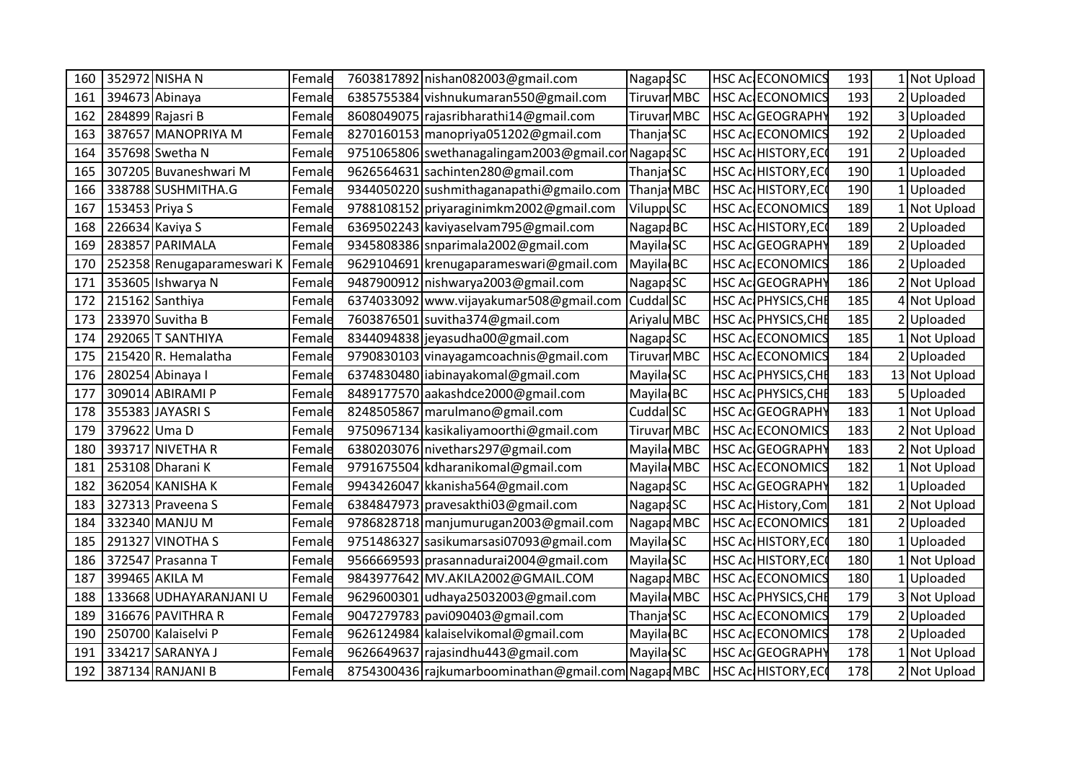|     |                  | 160 352972 NISHA N         | Female | 7603817892 nishan082003@gmail.com                   | Nagapa <sub>SC</sub> |  | <b>HSC AC ECONOMICS</b>    | 193 | 1 Not Upload  |
|-----|------------------|----------------------------|--------|-----------------------------------------------------|----------------------|--|----------------------------|-----|---------------|
| 161 |                  | 394673 Abinaya             | Female | 6385755384 vishnukumaran550@gmail.com               | TiruvarMBC           |  | <b>HSC AC ECONOMICS</b>    | 193 | 2 Uploaded    |
|     |                  | 162 284899 Rajasri B       | Female | 8608049075 rajasribharathi14@gmail.com              | Tiruvar MBC          |  | HSC AC GEOGRAPHY           | 192 | 3 Uploaded    |
| 163 |                  | 387657 MANOPRIYA M         | Female | 8270160153 manopriya051202@gmail.com                | Thanja SC            |  | <b>HSC AC ECONOMICS</b>    | 192 | Uploaded      |
| 164 |                  | 357698 Swetha N            | Female | 9751065806 swethanagalingam2003@gmail.corNagapaSC   |                      |  | <b>HSC Ac HISTORY, ECC</b> | 191 | Uploaded      |
| 165 |                  | 307205 Buvaneshwari M      | Female | 9626564631 sachinten280@gmail.com                   | Thanja SC            |  | HSC AcHISTORY, ECC         | 190 | Uploaded      |
|     |                  | 166 338788 SUSHMITHA.G     | Female | 9344050220 sushmithaganapathi@gmailo.com            | Thanja MBC           |  | HSC AcHISTORY, ECO         | 190 | 1 Uploaded    |
| 167 | 153453 Priya S   |                            | Female | 9788108152 priyaraginimkm2002@gmail.com             | ViluppuSC            |  | <b>HSC AC ECONOMICS</b>    | 189 | Not Upload    |
| 168 |                  | 226634 Kaviya S            | Female | 6369502243 kaviyaselvam795@gmail.com                | Nagap4BC             |  | HSC AcHISTORY, ECC         | 189 | 2Uploaded     |
| 169 |                  | 283857 PARIMALA            | Female | 9345808386 snparimala2002@gmail.com                 | Mayila SC            |  | HSC AcGEOGRAPHY            | 189 | 2 Uploaded    |
| 170 |                  | 252358 Renugaparameswari K | Female | 9629104691 krenugaparameswari@gmail.com             | Mayila BC            |  | <b>HSC AC ECONOMICS</b>    | 186 | 2 Uploaded    |
| 171 |                  | 353605 Ishwarya N          | Female | 9487900912 nishwarya2003@gmail.com                  | Nagap4SC             |  | <b>HSC Ac GEOGRAPHY</b>    | 186 | Not Upload    |
| 172 |                  | 215162 Santhiya            | Female | 6374033092 www.vijayakumar508@gmail.com             | Cuddal SC            |  | HSC Ac PHYSICS, CHE        | 185 | 4 Not Upload  |
| 173 |                  | 233970 Suvitha B           | Female | 7603876501 suvitha374@gmail.com                     | Ariyalu MBC          |  | HSC AC PHYSICS, CHE        | 185 | 2Uploaded     |
| 174 |                  | 292065 T SANTHIYA          | Female | 8344094838 jeyasudha00@gmail.com                    | Nagapa <sub>SC</sub> |  | HSC Ac ECONOMICS           | 185 | Not Upload    |
| 175 |                  | 215420R. Hemalatha         | Female | 9790830103 vinayagamcoachnis@gmail.com              | TiruvarMBC           |  | <b>HSC AC ECONOMICS</b>    | 184 | Uploaded      |
| 176 |                  | 280254 Abinaya I           | Female | 6374830480 iabinayakomal@gmail.com                  | Mayila SC            |  | HSC Ac PHYSICS, CHE        | 183 | 13 Not Upload |
| 177 |                  | 309014 ABIRAMI P           | Female | 8489177570 aakashdce2000@gmail.com                  | Mayila BC            |  | HSC Ac PHYSICS, CHE        | 183 | 5Uploaded     |
| 178 |                  | 355383 JAYASRI S           | Female | 8248505867 marulmano@gmail.com                      | Cuddal SC            |  | HSC Ac GEOGRAPHY           | 183 | Not Upload    |
|     | 179 379622 Uma D |                            | Female | 9750967134 kasikaliyamoorthi@gmail.com              | Tiruvar MBC          |  | HSC Ac ECONOMICS           | 183 | 2 Not Upload  |
| 180 |                  | 393717 NIVETHA R           | Female | 6380203076 nivethars 297@gmail.com                  | Mayila MBC           |  | HSC Ac GEOGRAPHY           | 183 | 2 Not Upload  |
| 181 |                  | 253108 Dharani K           | Female | 9791675504 kdharanikomal@gmail.com                  | Mayila MBC           |  | <b>HSC AC ECONOMICS</b>    | 182 | 1 Not Upload  |
| 182 |                  | 362054 KANISHA K           | Female | 9943426047 kkanisha564@gmail.com                    | NagapaSC             |  | HSC Ac GEOGRAPHY           | 182 | Uploaded      |
| 183 |                  | 327313 Praveena S          | Female | 6384847973 pravesakthi03@gmail.com                  | Nagapa <sub>SC</sub> |  | HSC Ac History, Com        | 181 | 2 Not Upload  |
| 184 |                  | 332340 MANJU M             | Female | 9786828718 manjumurugan2003@gmail.com               | Nagapa MBC           |  | <b>HSC Ac ECONOMICS</b>    | 181 | 2Uploaded     |
| 185 |                  | 291327 VINOTHA S           | Female | 9751486327 sasikumarsasi07093@gmail.com             | Mayila <sub>SC</sub> |  | HSC AcHISTORY, ECC         | 180 | 1 Uploaded    |
| 186 |                  | 372547 Prasanna T          | Female | 9566669593 prasannadurai2004@gmail.com              | Mayila SC            |  | HSC Ac HISTORY, ECC        | 180 | Not Upload    |
| 187 |                  | 399465 AKILA M             | Female | 9843977642 MV.AKILA2002@GMAIL.COM                   | Nagapa MBC           |  | <b>HSC AC ECONOMICS</b>    | 180 | Uploaded      |
| 188 |                  | 133668 UDHAYARANJANI U     | Female | 9629600301 udhaya25032003@gmail.com                 | Mayila MBC           |  | HSC Ac PHYSICS, CHE        | 179 | 3 Not Upload  |
| 189 |                  | 316676 PAVITHRA R          | Female | 9047279783 pavi090403@gmail.com                     | Thanja SC            |  | HSC Ac ECONOMICS           | 179 | 2 Uploaded    |
| 190 |                  | 250700 Kalaiselvi P        | Female | 9626124984 kalaiselvikomal@gmail.com                | Mayila BC            |  | <b>HSC AC ECONOMICS</b>    | 178 | Uploaded      |
| 191 |                  | 334217 SARANYA J           | Female | 9626649637 rajasindhu443@gmail.com                  | Mayila SC            |  | HSC AcGEOGRAPHY            | 178 | Not Upload    |
| 192 |                  | 387134 RANJANI B           | Female | 8754300436 rajkumarboominathan@gmail.com Nagapa MBC |                      |  | HSC Ac HISTORY, ECC        | 178 | 2 Not Upload  |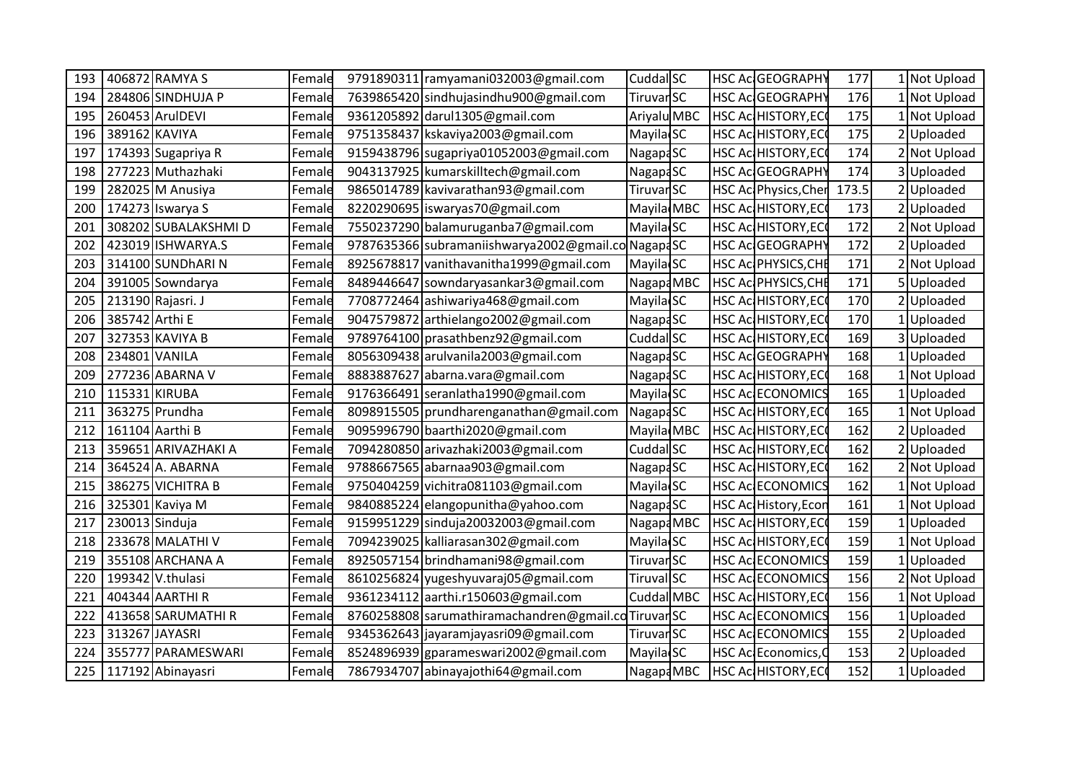| 193 |                | 406872 RAMYA S      | Female | 9791890311 ramyamani032003@gmail.com               | Cuddal SC            |  | HSC Ac GEOGRAPHY            | 177   | I Not Upload |
|-----|----------------|---------------------|--------|----------------------------------------------------|----------------------|--|-----------------------------|-------|--------------|
| 194 |                | 284806 SINDHUJA P   | Female | 7639865420 sindhujasindhu900@gmail.com             | TiruvarSC            |  | HSC Ac GEOGRAPHY            | 176   | 1 Not Upload |
| 195 |                | 260453 ArulDEVI     | Female | 9361205892 darul1305@gmail.com                     | Ariyalu MBC          |  | HSC AcHISTORY, EC           | 175   | 1 Not Upload |
| 196 |                | 389162 KAVIYA       | Female | 9751358437 kskaviya2003@gmail.com                  | Mayila <sub>SC</sub> |  | HSC Ac HISTORY, EC          | 175   | Uploaded     |
| 197 |                | 174393 Sugapriya R  | Female | 9159438796 sugapriya01052003@gmail.com             | Nagapa <sub>SC</sub> |  | HSC Ac HISTORY, ECC         | 174   | 2 Not Upload |
| 198 |                | 277223 Muthazhaki   | Female | 9043137925 kumarskilltech@gmail.com                | Nagapa <sub>SC</sub> |  | HSC Ac GEOGRAPHY            | 174   | 3 Uploaded   |
| 199 |                | 282025 M Anusiya    | Female | 9865014789 kavivarathan93@gmail.com                | TiruvarSC            |  | HSC Ac Physics, Cher        | 173.5 | 2 Uploaded   |
| 200 |                | 174273 Iswarya S    | Female | 8220290695 iswaryas70@gmail.com                    | Mayila MBC           |  | <b>HSC Ac HISTORY, ECG</b>  | 173   | Uploaded     |
| 201 |                | 308202 SUBALAKSHMID | Female | 7550237290 balamuruganba7@gmail.com                | Mayila SC            |  | HSC Ac HISTORY, ECC         | 172   | 2 Not Upload |
| 202 |                | 423019 ISHWARYA.S   | Female | 9787635366 subramaniishwarya2002@gmail.co NagapaSC |                      |  | HSC Ac GEOGRAPHY            | 172   | Uploaded     |
| 203 |                | 314100 SUNDhARIN    | Female | 8925678817 vanithavanitha1999@gmail.com            | Mayila <sup>SC</sup> |  | HSC Ac PHYSICS, CHE         | 171   | 2 Not Upload |
| 204 |                | 391005 Sowndarya    | Female | 8489446647 sowndaryasankar3@gmail.com              | Nagapa MBC           |  | HSC Ac PHYSICS, CHE         | 171   | Uploaded     |
| 205 |                | 213190 Rajasri. J   | Female | 7708772464 ashiwariya468@gmail.com                 | Mayila SC            |  | HSC Ac HISTORY, ECO         | 170   | Uploaded     |
| 206 | 385742 Arthi E |                     | Female | 9047579872 arthielango2002@gmail.com               | Nagapa <sub>SC</sub> |  | HSC Ac HISTORY, ECO         | 170   | 1 Uploaded   |
| 207 |                | 327353 KAVIYA B     | Female | 9789764100 prasathbenz92@gmail.com                 | Cuddal <sup>SC</sup> |  | HSC Ac HISTORY, ECO         | 169   | 3 Uploaded   |
| 208 |                | 234801 VANILA       | Female | 8056309438 arulvanila 2003@gmail.com               | Nagapa <sub>SC</sub> |  | HSC Ac GEOGRAPHY            | 168   | Uploaded     |
| 209 |                | 277236 ABARNA V     | Female | 8883887627 abarna.vara@gmail.com                   | Nagapa <sub>SC</sub> |  | HSC Ac HISTORY, ECO         | 168   | Not Upload   |
| 210 |                | 115331 KIRUBA       | Female | 9176366491 seranlatha1990@gmail.com                | Mayila <sub>SC</sub> |  | HSC Ac ECONOMICS            | 165   | 1 Uploaded   |
| 211 |                | 363275 Prundha      | Female | 8098915505 prundharenganathan@gmail.com            | Nagapa <sub>SC</sub> |  | HSC Ac HISTORY, ECO         | 165   | 1 Not Upload |
| 212 |                | 161104 Aarthi B     | Female | 9095996790 baarthi2020@gmail.com                   | Mayila MBC           |  | <b>HSC Ac HISTORY, ECC</b>  | 162   | Uploaded     |
| 213 |                | 359651 ARIVAZHAKI A | Female | 7094280850 arivazhaki2003@gmail.com                | Cuddal SC            |  | HSC Ac HISTORY, ECO         | 162   | Uploaded     |
| 214 |                | 364524 A. ABARNA    | Female | 9788667565 abarnaa903@gmail.com                    | Nagapa <sub>SC</sub> |  | HSC Ac HISTORY, ECC         | 162   | 2 Not Upload |
| 215 |                | 386275 VICHITRA B   | Female | 9750404259 vichitra081103@gmail.com                | Mayila <sub>SC</sub> |  | HSC Ac ECONOMICS            | 162   | Not Upload   |
| 216 |                | 325301 Kaviya M     | Female | 9840885224 elangopunitha@yahoo.com                 | Nagapa <sub>SC</sub> |  | <b>HSC Ac History, Econ</b> | 161   | Not Upload   |
| 217 |                | 230013 Sinduja      | Female | 9159951229 sinduja20032003@gmail.com               | Nagapa MBC           |  | HSC AcHISTORY, ECO          | 159   | Uploaded     |
| 218 |                | 233678 MALATHI V    | Female | 7094239025 kalliarasan302@gmail.com                | Mayila <sub>SC</sub> |  | <b>HSC Ac HISTORY, ECC</b>  | 159   | 1 Not Upload |
| 219 |                | 355108 ARCHANA A    | Female | 8925057154 brindhamani98@gmail.com                 | TiruvarSC            |  | HSC Ac ECONOMICS            | 159   | Uploaded     |
| 220 |                | 199342 V.thulasi    | Female | 8610256824 yugeshyuvaraj05@gmail.com               | Tiruval SC           |  | HSC Ac ECONOMICS            | 156   | 2 Not Upload |
| 221 |                | 404344 AARTHI R     | Female | 9361234112 aarthi.r150603@gmail.com                | Cuddal MBC           |  | HSC AcHISTORY, ECO          | 156   | 1 Not Upload |
| 222 |                | 413658 SARUMATHI R  | Female | 8760258808 sarumathiramachandren@gmail.cdTiruvarSC |                      |  | <b>HSC Ac ECONOMICS</b>     | 156   | 1 Uploaded   |
| 223 |                | 313267 JAYASRI      | Female | 9345362643 jayaramjayasri09@gmail.com              | TiruvarSC            |  | HSC Ac ECONOMICS            | 155   | Uploaded     |
| 224 |                | 355777 PARAMESWARI  | Female | 8524896939 gparameswari2002@gmail.com              | Mayila SC            |  | HSC Ac Economics, C         | 153   | 2 Uploaded   |
| 225 |                | 117192 Abinayasri   | Female | 7867934707 abinayajothi64@gmail.com                | NagapaMBC            |  | HSC Ac HISTORY, EC          | 152   | 1 Uploaded   |